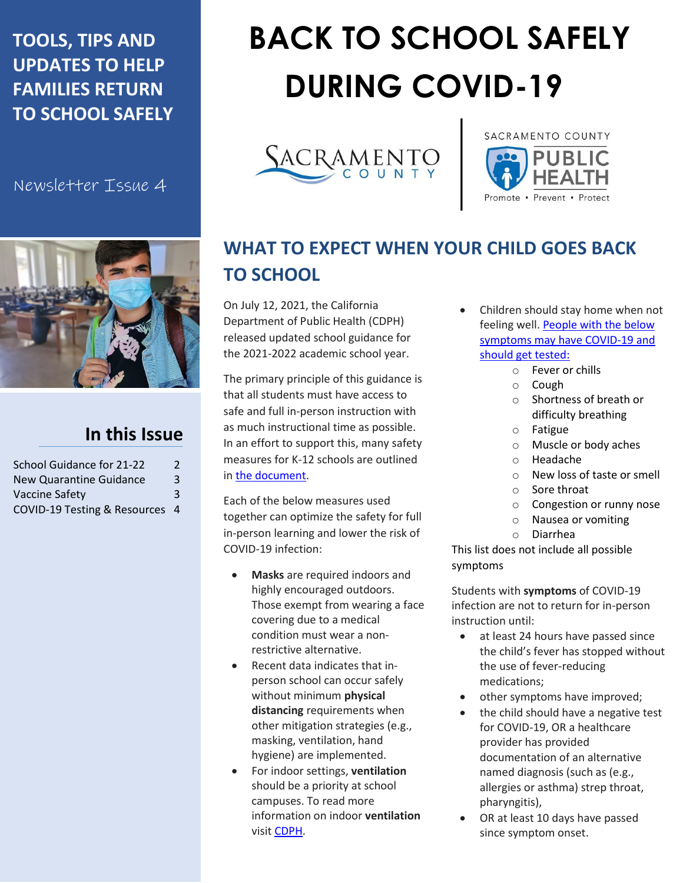### **TOOLS, TIPS AND UPDATES TO HELP FAMILIES RETURN TO SCHOOL SAFELY**

Newsletter Issue 4



#### **In this Issue**

| School Guidance for 21-22      | $\mathcal{L}$  |
|--------------------------------|----------------|
| New Quarantine Guidance        | $\overline{3}$ |
| Vaccine Safety                 | 3              |
| COVID-19 Testing & Resources 4 |                |

# **BACK TO SCHOOL SAFELY DURING COVID-19**





## **WHAT TO EXPECT WHEN YOUR CHILD GOES BACK TO SCHOOL**

On July 12, 2021, the California Department of Public Health (CDPH) released updated school guidance for the 2021-2022 academic school year.

The primary principle of this guidance is that all students must have access to safe and full in-person instruction with as much instructional time as possible. In an effort to support this, many safety measures for K-12 schools are outlined in [the document.](https://www.cdph.ca.gov/Programs/CID/DCDC/Pages/COVID-19/K-12-Guidance-2021-22-School-Year.aspx)

Each of the below measures used together can optimize the safety for full in-person learning and lower the risk of COVID-19 infection:

- **Masks** are required indoors and highly encouraged outdoors. Those exempt from wearing a face covering due to a medical condition must wear a nonrestrictive alternative.
- Recent data indicates that inperson school can occur safely without minimum **physical distancing** requirements when other mitigation strategies (e.g., masking, ventilation, hand hygiene) are implemented.
- For indoor settings, **ventilation** should be a priority at school campuses. To read more information on indoor **ventilation** visit [CDPH.](https://www.cdph.ca.gov/Programs/CCDPHP/DEODC/EHLB/IAQ/Pages/Airborne-Diseases.aspx)
- Children should stay home when not feeling well[. People with the below](https://www.cdc.gov/coronavirus/2019-ncov/symptoms-testing/symptoms.html)  [symptoms may have COVID-19 and](https://www.cdc.gov/coronavirus/2019-ncov/symptoms-testing/symptoms.html)  [should get tested:](https://www.cdc.gov/coronavirus/2019-ncov/symptoms-testing/symptoms.html)
	- o Fever or chills
	- o Cough
	- o Shortness of breath or difficulty breathing
	- o Fatigue
	- o Muscle or body aches
	- o Headache
	- o New loss of taste or smell
	- o Sore throat
	- o Congestion or runny nose
	- o Nausea or vomiting
	- o Diarrhea

This list does not include all possible symptoms

Students with **symptoms** of COVID-19 infection are not to return for in-person instruction until:

- at least 24 hours have passed since the child's fever has stopped without the use of fever-reducing medications;
- other symptoms have improved;
- the child should have a negative test for COVID-19, OR a healthcare provider has provided documentation of an alternative named diagnosis (such as (e.g., allergies or asthma) strep throat, pharyngitis),
- OR at least 10 days have passed since symptom onset.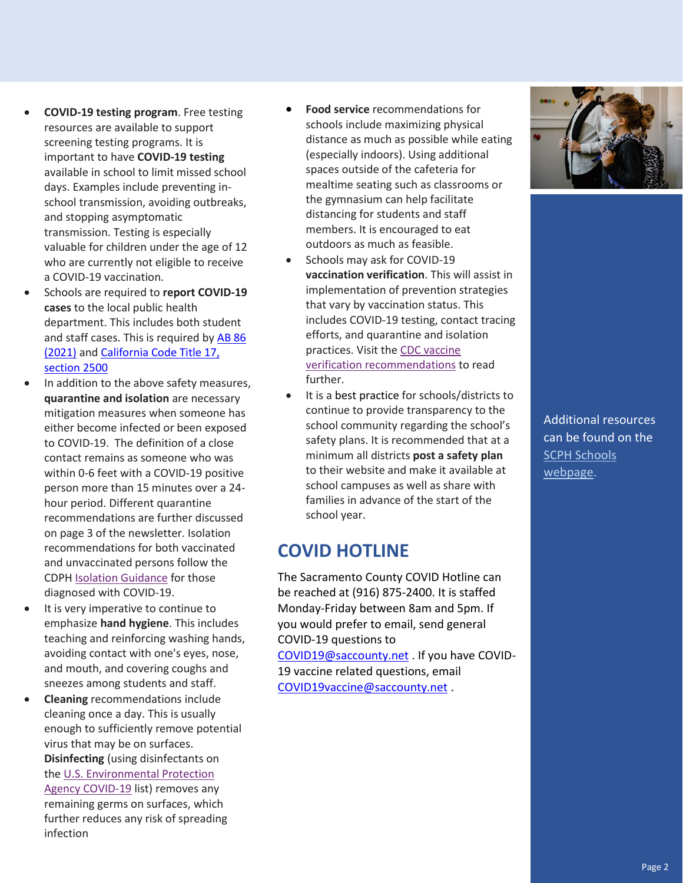- **COVID-19 testing program**. Free testing resources are available to support screening testing programs. It is important to have **COVID-19 testing** available in school to limit missed school days. Examples include preventing inschool transmission, avoiding outbreaks, and stopping asymptomatic transmission. Testing is especially valuable for children under the age of 12 who are currently not eligible to receive a COVID-19 vaccination.
- Schools are required to **report COVID-19 cases** to the local public health department. This includes both student and staff cases. This is required b[y AB 86](https://leginfo.legislature.ca.gov/faces/billNavClient.xhtml?bill_id=202120220AB86)  [\(2021\)](https://leginfo.legislature.ca.gov/faces/billNavClient.xhtml?bill_id=202120220AB86) an[d California Code Title 17,](https://www.cdph.ca.gov/Programs/CID/DCDC/CDPH%20Document%20Library/ReportableDiseases.pdf)  [section 2500](https://www.cdph.ca.gov/Programs/CID/DCDC/CDPH%20Document%20Library/ReportableDiseases.pdf)
- In addition to the above safety measures, **quarantine and isolation** are necessary mitigation measures when someone has either become infected or been exposed to COVID-19. The definition of a close contact remains as someone who was within 0-6 feet with a COVID-19 positive person more than 15 minutes over a 24 hour period. Different quarantine recommendations are further discussed on page 3 of the newsletter. Isolation recommendations for both vaccinated and unvaccinated persons follow the CDPH [Isolation Guidance](https://www.cdph.ca.gov/Programs/CID/DCDC/Pages/COVID-19/Guidance-on-Isolation-and-Quarantine-for-COVID-19-Contact-Tracing.aspx) for those diagnosed with COVID-19.
- It is very imperative to continue to emphasize **hand hygiene**. This includes teaching and reinforcing washing hands, avoiding contact with one's eyes, nose, and mouth, and covering coughs and sneezes among students and staff.
- **Cleaning** recommendations include cleaning once a day. This is usually enough to sufficiently remove potential virus that may be on surfaces. **Disinfecting** (using disinfectants on the [U.S. Environmental Protection](https://www.epa.gov/coronavirus/about-list-n-disinfectants-coronavirus-covid-19-0)  [Agency COVID-19](https://www.epa.gov/coronavirus/about-list-n-disinfectants-coronavirus-covid-19-0) list) removes any remaining germs on surfaces, which further reduces any risk of spreading infection
- **Food service** recommendations for schools include maximizing physical distance as much as possible while eating (especially indoors). Using additional spaces outside of the cafeteria for mealtime seating such as classrooms or the gymnasium can help facilitate distancing for students and staff members. It is encouraged to eat outdoors as much as feasible.
- Schools may ask for COVID-19 **vaccination verification**. This will assist in implementation of prevention strategies that vary by vaccination status. This includes COVID-19 testing, contact tracing efforts, and quarantine and isolation practices. Visit the [CDC vaccine](https://www.cdc.gov/coronavirus/2019-ncov/community/schools-childcare/k-12-guidance.html#anchor_1625662083743)  [verification recommendations](https://www.cdc.gov/coronavirus/2019-ncov/community/schools-childcare/k-12-guidance.html#anchor_1625662083743) to read further.
- It is a best practice for schools/districts to continue to provide transparency to the school community regarding the school's safety plans. It is recommended that at a minimum all districts **post a safety plan** to their website and make it available at school campuses as well as share with families in advance of the start of the school year.

#### **COVID HOTLINE**

The Sacramento County COVID Hotline can be reached at (916) 875-2400. It is staffed Monday-Friday between 8am and 5pm. If you would prefer to email, send general COVID-19 questions to [COVID19@saccounty.net](mailto:COVID19@saccounty.net) . If you have COVID-19 vaccine related questions, email

[COVID19vaccine@saccounty.net](mailto:COVID19vaccine@saccounty.net) .



Additional resources can be found on the [SCPH Schools](https://www.saccounty.net/COVID-19/Pages/ChildCare_Schools_Colleges.aspx)  [webpage.](https://www.saccounty.net/COVID-19/Pages/ChildCare_Schools_Colleges.aspx)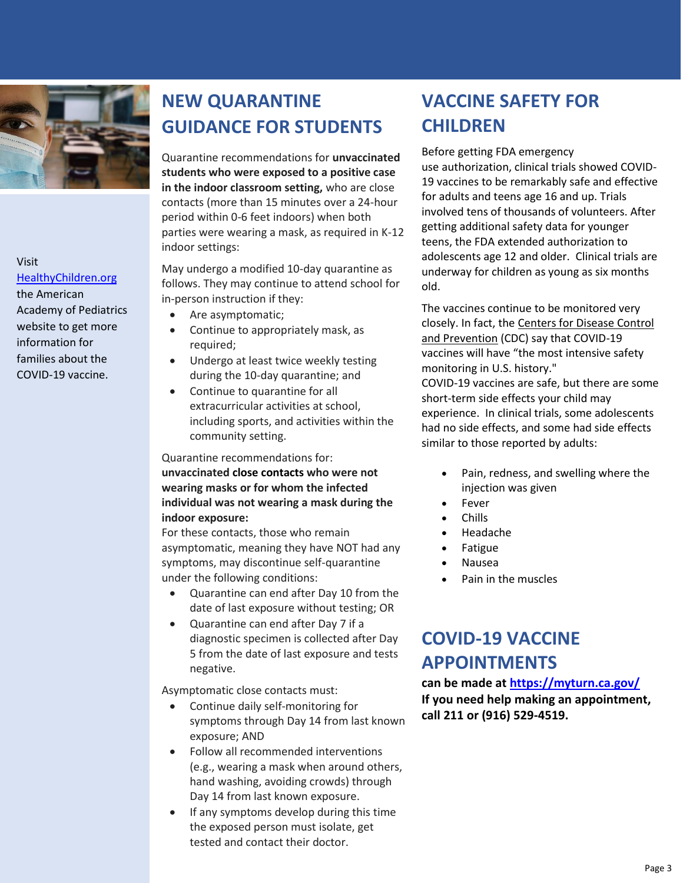

Visit [HealthyChildren.org](https://www.healthychildren.org/English/health-issues/conditions/COVID-19/Pages/default.aspx) the American Academy of Pediatrics website to get more information for families about the COVID-19 vaccine.

## **NEW QUARANTINE GUIDANCE FOR STUDENTS**

Quarantine recommendations for **unvaccinated students who were exposed to a positive case in the indoor classroom setting,** who are close contacts (more than 15 minutes over a 24-hour period within 0-6 feet indoors) when both parties were wearing a mask, as required in K-12 indoor settings:

May undergo a modified 10-day quarantine as follows. They may continue to attend school for in-person instruction if they:

- Are asymptomatic;
- Continue to appropriately mask, as required;
- Undergo at least twice weekly testing during the 10-day quarantine; and
- Continue to quarantine for all extracurricular activities at school, including sports, and activities within the community setting.

Quarantine recommendations for: **unvaccinated close contacts who were not wearing masks or for whom the infected individual was not wearing a mask during the indoor exposure:**

For these contacts, those who remain asymptomatic, meaning they have NOT had any symptoms, may discontinue self-quarantine under the following conditions:

- Quarantine can end after Day 10 from the date of last exposure without testing; OR
- Quarantine can end after Day 7 if a diagnostic specimen is collected after Day 5 from the date of last exposure and tests negative.

Asymptomatic close contacts must:

- Continue daily self-monitoring for symptoms through Day 14 from last known exposure; AND
- Follow all recommended interventions (e.g., wearing a mask when around others, hand washing, avoiding crowds) through Day 14 from last known exposure.
- If any symptoms develop during this time the exposed person must isolate, get tested and contact their doctor.

#### **VACCINE SAFETY FOR CHILDREN**

Before getting FDA emergency use authorization, clinical trials showed COVID-19 vaccines to be remarkably safe and effective for adults and teens age 16 and up. Trials involved tens of thousands of volunteers. After getting additional safety data for younger teens, the FDA extended authorization to adolescents age 12 and older. Clinical trials are underway for children as young as six months old.

The vaccines continue to be monitored very closely. In fact, the [Centers for Disease Control](https://www.cdc.gov/coronavirus/2019-ncov/vaccines/safety/safety-of-vaccines.html)  [and Prevention](https://www.cdc.gov/coronavirus/2019-ncov/vaccines/safety/safety-of-vaccines.html) (CDC) say that COVID-19 vaccines will have "the most intensive safety monitoring in U.S. history."

COVID-19 vaccines are safe, but there are some short-term side effects your child may experience. In clinical trials, some adolescents had no side effects, and some had side effects similar to those reported by adults:

- Pain, redness, and swelling where the injection was given
- Fever
- Chills
- Headache
- Fatigue
- Nausea
- Pain in the muscles

#### **COVID-19 VACCINE APPOINTMENTS**

**can be made at<https://myturn.ca.gov/> If you need help making an appointment, call 211 or (916) 529-4519.**